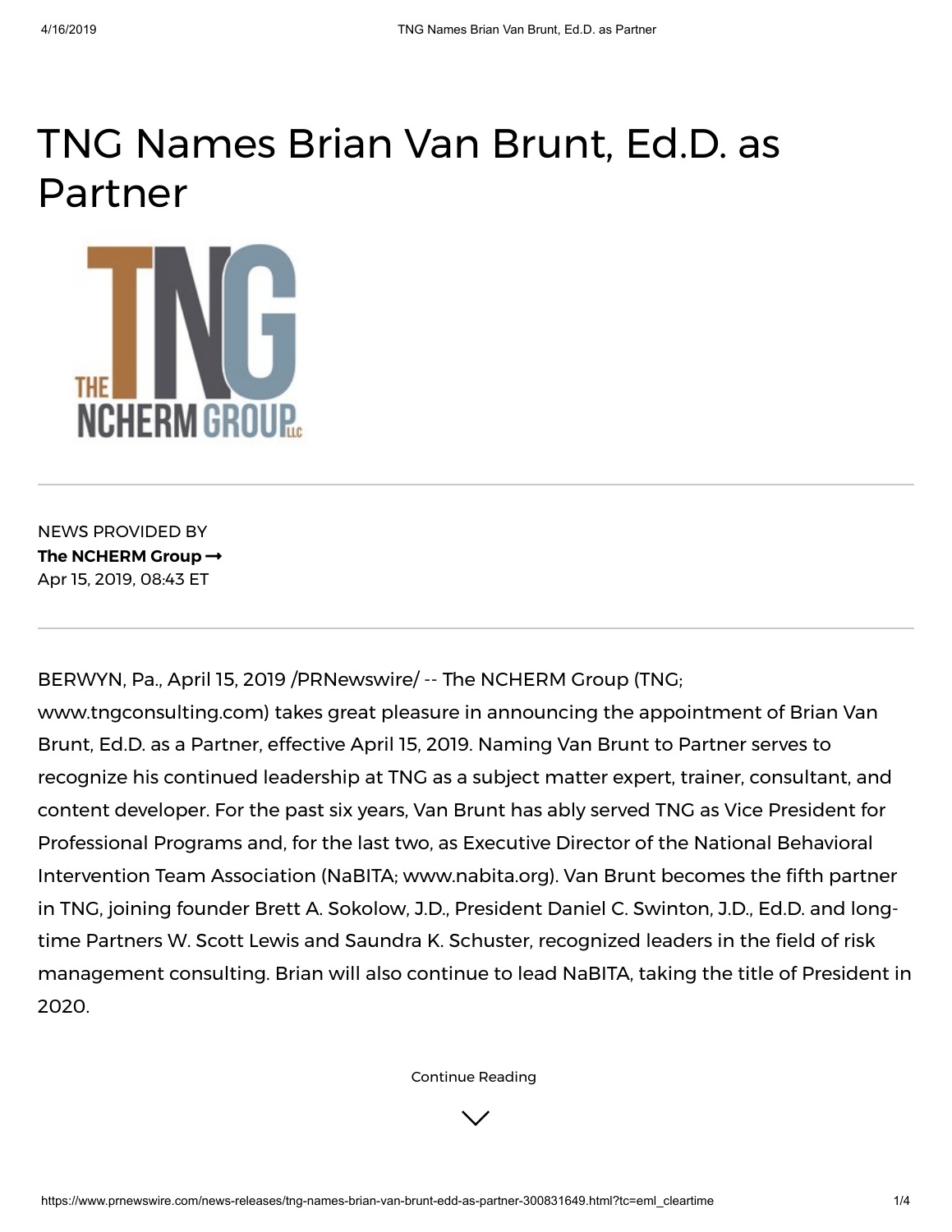## TNG Names Brian Van Brunt, Ed.D. as Partner



NEWS PROVIDED BY **The [NCHERM](https://www.prnewswire.com/news/the-ncherm-group) Group** Apr 15, 2019, 08:43 ET

BERWYN, Pa., April 15, 2019 /PRNewswire/ -- The NCHERM Group (TNG;

<span id="page-0-0"></span>[www.tngconsulting.com](https://c212.net/c/link/?t=0&l=en&o=2434875-1&h=3343772716&u=http%3A%2F%2Fwww.tngconsulting.com%2F&a=www.tngconsulting.com)[\)](https://c212.net/c/link/?t=0&l=en&o=2434875-1&h=510507084&u=https%3A%2F%2Ftngconsulting.com%2Fconsultants%2Fbrian-van-brunt%2F&a=Brian+Van+Brunt%2C+Ed.D.) takes great pleasure in announcing the appointment of Brian Van Brunt, Ed.D. as a Partner, effective April 15, 2019. Naming Van Brunt to Partner serves to recognize his continued leadership at TNG as a subject matter expert, trainer, consultant, and content developer. For the past six years, Van Brunt has ably served TNG as Vice President for Professional Programs and, for the last two, as Executive Director of the National Behavioral Intervention Team Association (NaBITA; [www.nabita.org\)](https://c212.net/c/link/?t=0&l=en&o=2434875-1&h=760479318&u=http%3A%2F%2Fwww.nabita.org%2F&a=www.nabita.org). Van Brunt becomes the fifth partner in TNG, joining founder Brett A. Sokolow, J.D., President Daniel C. Swinton, J.D., Ed.D. and longtime Partners W. Scott Lewis and Saundra K. Schuster, recognized leaders in the field of risk management consulting. Brian will also continue to lead NaBITA, taking the title of President in 2020.

[Continue](#page-0-0) Reading

 $\vee$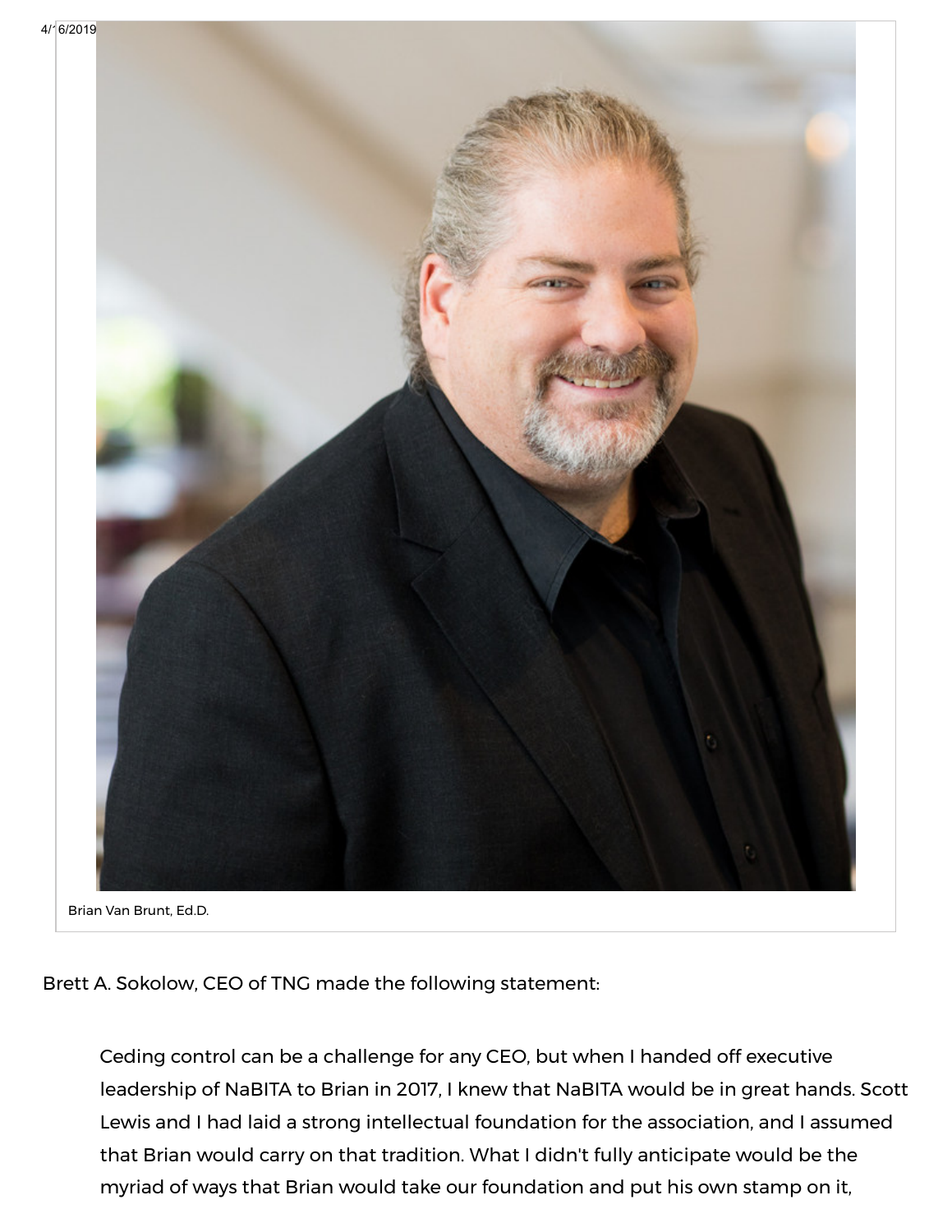



Brian Van Brunt, Ed.D.

Brett A. Sokolow, CEO of TNG made the following statement:

myriad of ways that Brian would take our foundation and put his own stamp on it, Ceding control can be a challenge for any CEO, but when I handed off executive leadership of NaBITA to Brian in 2017, I knew that NaBITA would be in great hands. Scott Lewis and I had laid a strong intellectual foundation for the association, and I assumed that Brian would carry on that tradition. What I didn't fully anticipate would be the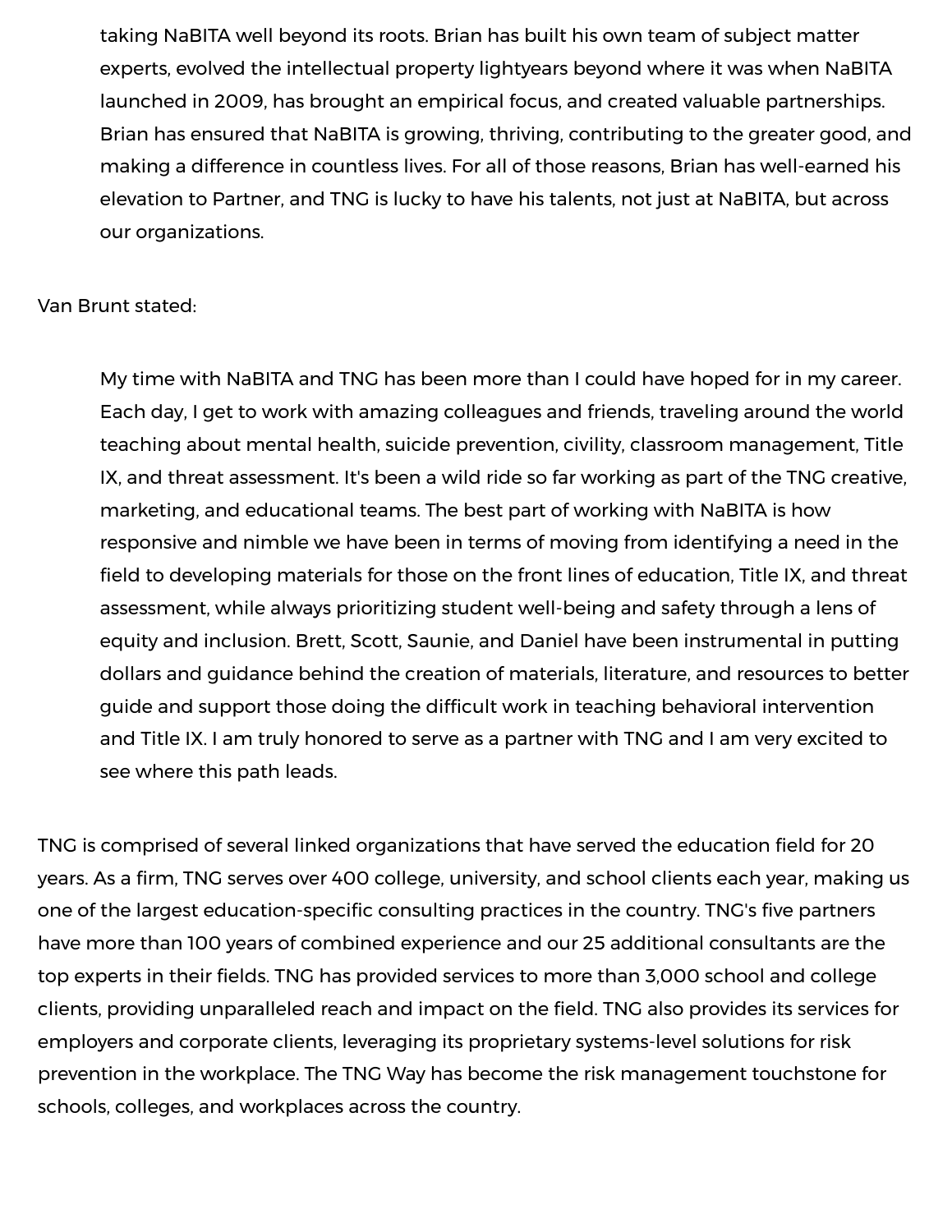taking NaBITA well beyond its roots. Brian has built his own team of subject matter experts, evolved the intellectual property lightyears beyond where it was when NaBITA launched in 2009, has brought an empirical focus, and created valuable partnerships. Brian has ensured that NaBITA is growing, thriving, contributing to the greater good, and making a difference in countless lives. For all of those reasons, Brian has well-earned his elevation to Partner, and TNG is lucky to have his talents, not just at NaBITA, but across our organizations.

Van Brunt stated:

My time with NaBITA and TNG has been more than I could have hoped for in my career. Each day, I get to work with amazing colleagues and friends, traveling around the world teaching about mental health, suicide prevention, civility, classroom management, Title IX, and threat assessment. It's been a wild ride so far working as part of the TNG creative, marketing, and educational teams. The best part of working with NaBITA is how responsive and nimble we have been in terms of moving from identifying a need in the field to developing materials for those on the front lines of education, Title IX, and threat assessment, while always prioritizing student well-being and safety through a lens of equity and inclusion. Brett, Scott, Saunie, and Daniel have been instrumental in putting dollars and guidance behind the creation of materials, literature, and resources to better guide and support those doing the difficult work in teaching behavioral intervention and Title IX. I am truly honored to serve as a partner with TNG and I am very excited to see where this path leads.

TNG is comprised of several linked organizations that have served the education field for 20 years. As a firm, TNG serves over 400 college, university, and school clients each year, making us one of the largest education-specific consulting practices in the country. TNG's five partners have more than 100 years of combined experience and our 25 additional consultants are the top experts in their fields. TNG has provided services to more than 3,000 school and college clients, providing unparalleled reach and impact on the field. TNG also provides its services for employers and corporate clients, leveraging its proprietary systems-level solutions for risk prevention in the workplace. The TNG Way has become the risk management touchstone for schools, colleges, and workplaces across the country.